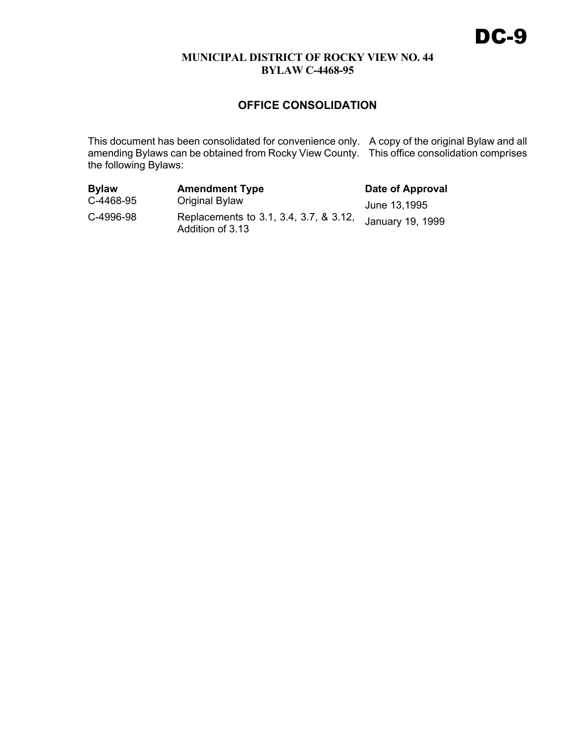# **OFFICE CONSOLIDATION**

This document has been consolidated for convenience only. A copy of the original Bylaw and all amending Bylaws can be obtained from Rocky View County. This office consolidation comprises the following Bylaws:

| <b>Bylaw</b> | <b>Amendment Type</b>                                      | Date of Approval |
|--------------|------------------------------------------------------------|------------------|
| C-4468-95    | Original Bylaw                                             | June 13,1995     |
| C-4996-98    | Replacements to 3.1, 3.4, 3.7, & 3.12,<br>Addition of 3.13 | January 19, 1999 |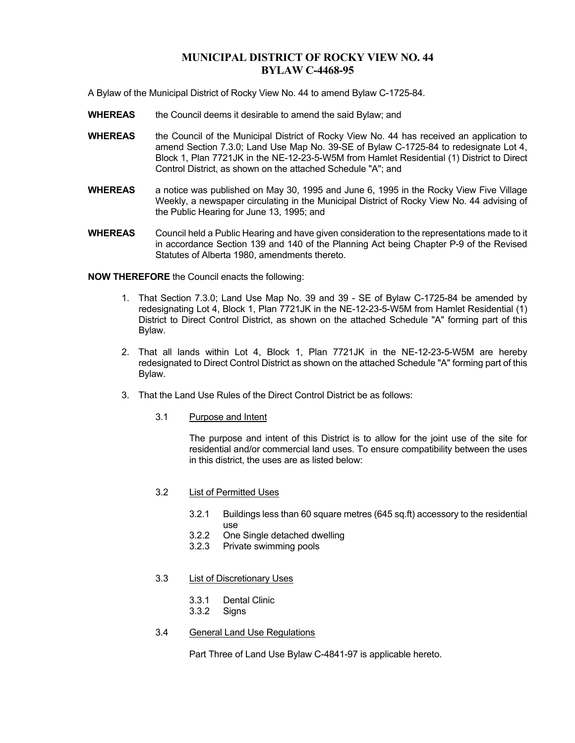A Bylaw of the Municipal District of Rocky View No. 44 to amend Bylaw C-1725-84.

- **WHEREAS** the Council deems it desirable to amend the said Bylaw; and
- **WHEREAS** the Council of the Municipal District of Rocky View No. 44 has received an application to amend Section 7.3.0; Land Use Map No. 39-SE of Bylaw C-1725-84 to redesignate Lot 4, Block 1, Plan 7721JK in the NE-12-23-5-W5M from Hamlet Residential (1) District to Direct Control District, as shown on the attached Schedule "A"; and
- **WHEREAS** a notice was published on May 30, 1995 and June 6, 1995 in the Rocky View Five Village Weekly, a newspaper circulating in the Municipal District of Rocky View No. 44 advising of the Public Hearing for June 13, 1995; and
- **WHEREAS** Council held a Public Hearing and have given consideration to the representations made to it in accordance Section 139 and 140 of the Planning Act being Chapter P-9 of the Revised Statutes of Alberta 1980, amendments thereto.

**NOW THEREFORE** the Council enacts the following:

- 1. That Section 7.3.0; Land Use Map No. 39 and 39 SE of Bylaw C-1725-84 be amended by redesignating Lot 4, Block 1, Plan 7721JK in the NE-12-23-5-W5M from Hamlet Residential (1) District to Direct Control District, as shown on the attached Schedule "A" forming part of this Bylaw.
- 2. That all lands within Lot 4, Block 1, Plan 7721JK in the NE-12-23-5-W5M are hereby redesignated to Direct Control District as shown on the attached Schedule "A" forming part of this Bylaw.
- 3. That the Land Use Rules of the Direct Control District be as follows:
	- 3.1 Purpose and Intent

 The purpose and intent of this District is to allow for the joint use of the site for residential and/or commercial land uses. To ensure compatibility between the uses in this district, the uses are as listed below:

- 3.2 List of Permitted Uses
	- 3.2.1 Buildings less than 60 square metres (645 sq.ft) accessory to the residential use
	- 3.2.2 One Single detached dwelling
	- 3.2.3 Private swimming pools

### 3.3 List of Discretionary Uses

- 3.3.1 Dental Clinic
- 3.3.2 Signs
- 3.4 General Land Use Regulations

Part Three of Land Use Bylaw C-4841-97 is applicable hereto.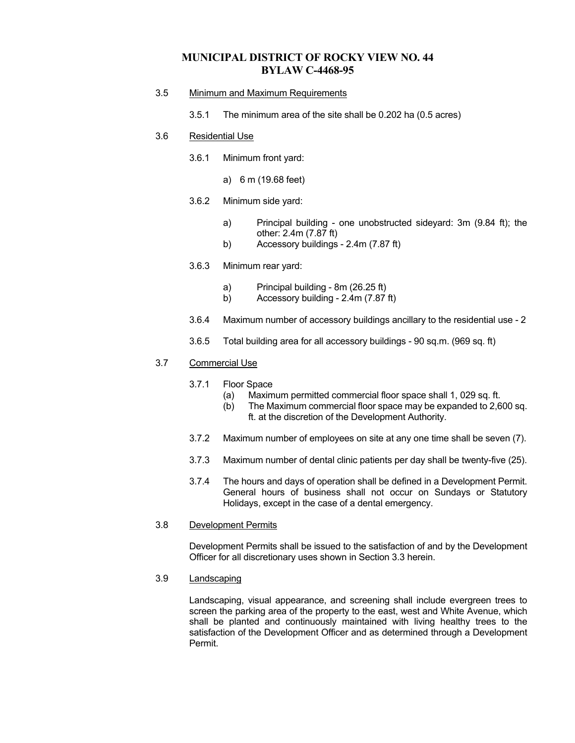- 3.5 Minimum and Maximum Requirements
	- 3.5.1 The minimum area of the site shall be 0.202 ha (0.5 acres)

### 3.6 Residential Use

- 3.6.1 Minimum front yard:
	- a) 6 m (19.68 feet)
- 3.6.2 Minimum side yard:
	- a) Principal building one unobstructed sideyard: 3m (9.84 ft); the other: 2.4m (7.87 ft)
	- b) Accessory buildings 2.4m (7.87 ft)
- 3.6.3 Minimum rear yard:
	- a) Principal building 8m (26.25 ft)
	- b) Accessory building 2.4m (7.87 ft)
- 3.6.4 Maximum number of accessory buildings ancillary to the residential use 2
- 3.6.5 Total building area for all accessory buildings 90 sq.m. (969 sq. ft)

### 3.7 Commercial Use

- 3.7.1 Floor Space
	- (a) Maximum permitted commercial floor space shall 1, 029 sq. ft.
	- (b) The Maximum commercial floor space may be expanded to 2,600 sq. ft. at the discretion of the Development Authority.
- 3.7.2 Maximum number of employees on site at any one time shall be seven (7).
- 3.7.3 Maximum number of dental clinic patients per day shall be twenty-five (25).
- 3.7.4 The hours and days of operation shall be defined in a Development Permit. General hours of business shall not occur on Sundays or Statutory Holidays, except in the case of a dental emergency.
- 3.8 Development Permits

 Development Permits shall be issued to the satisfaction of and by the Development Officer for all discretionary uses shown in Section 3.3 herein.

### 3.9 Landscaping

 Landscaping, visual appearance, and screening shall include evergreen trees to screen the parking area of the property to the east, west and White Avenue, which shall be planted and continuously maintained with living healthy trees to the satisfaction of the Development Officer and as determined through a Development Permit.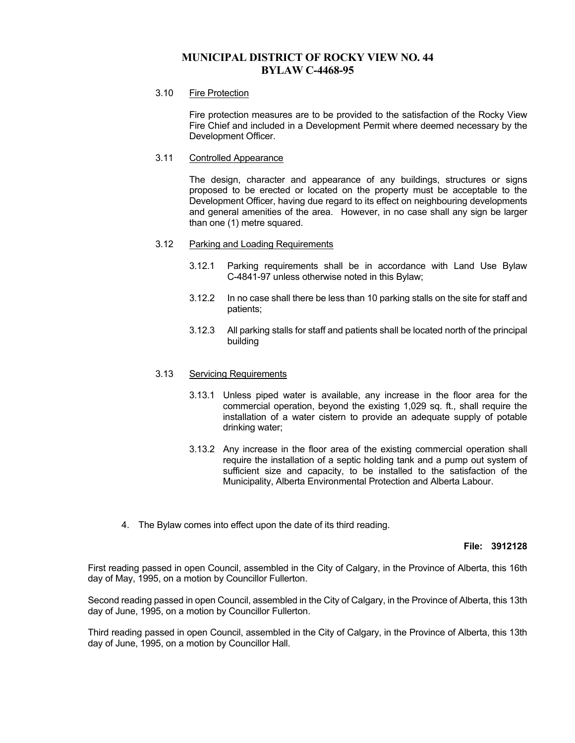### 3.10 Fire Protection

 Fire protection measures are to be provided to the satisfaction of the Rocky View Fire Chief and included in a Development Permit where deemed necessary by the Development Officer.

### 3.11 Controlled Appearance

 The design, character and appearance of any buildings, structures or signs proposed to be erected or located on the property must be acceptable to the Development Officer, having due regard to its effect on neighbouring developments and general amenities of the area. However, in no case shall any sign be larger than one (1) metre squared.

### 3.12 Parking and Loading Requirements

- 3.12.1 Parking requirements shall be in accordance with Land Use Bylaw C-4841-97 unless otherwise noted in this Bylaw;
- 3.12.2 In no case shall there be less than 10 parking stalls on the site for staff and patients;
- 3.12.3 All parking stalls for staff and patients shall be located north of the principal building

### 3.13 Servicing Requirements

- 3.13.1 Unless piped water is available, any increase in the floor area for the commercial operation, beyond the existing 1,029 sq. ft., shall require the installation of a water cistern to provide an adequate supply of potable drinking water;
- 3.13.2 Any increase in the floor area of the existing commercial operation shall require the installation of a septic holding tank and a pump out system of sufficient size and capacity, to be installed to the satisfaction of the Municipality, Alberta Environmental Protection and Alberta Labour.
- 4. The Bylaw comes into effect upon the date of its third reading.

#### **File: 3912128**

First reading passed in open Council, assembled in the City of Calgary, in the Province of Alberta, this 16th day of May, 1995, on a motion by Councillor Fullerton.

Second reading passed in open Council, assembled in the City of Calgary, in the Province of Alberta, this 13th day of June, 1995, on a motion by Councillor Fullerton.

Third reading passed in open Council, assembled in the City of Calgary, in the Province of Alberta, this 13th day of June, 1995, on a motion by Councillor Hall.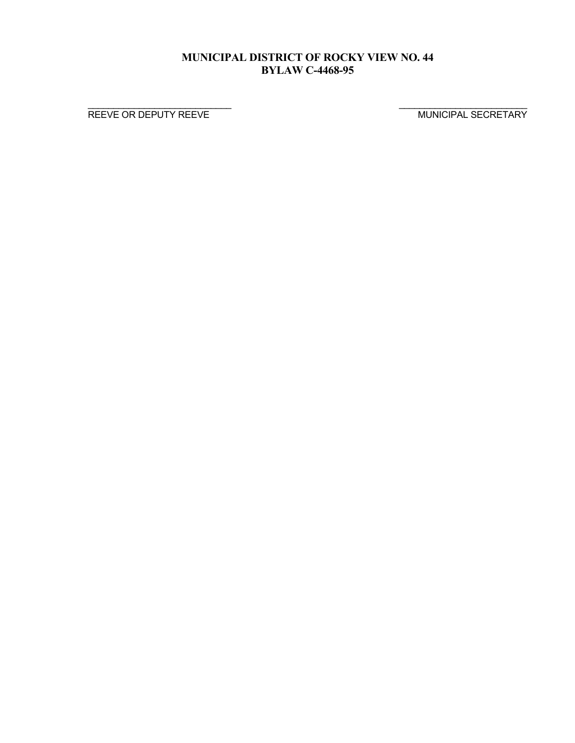$\frac{1}{2}$  , the contribution of the contribution of the contribution of the contribution of the contribution of the contribution of the contribution of the contribution of the contribution of the contribution of the contr

REEVE OR DEPUTY REEVE MUNICIPAL SECRETARY